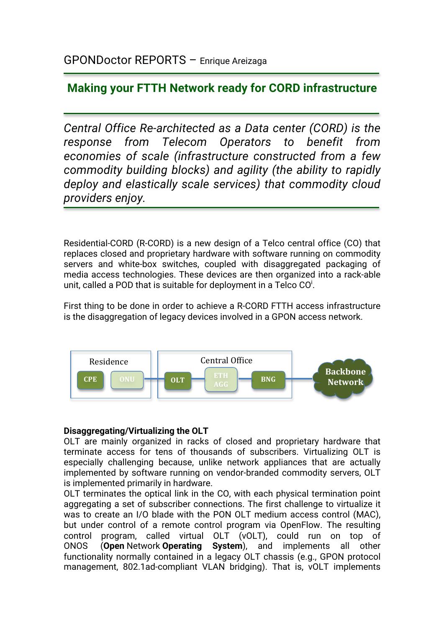# **Making your FTTH Network ready for CORD infrastructure**

*Central Office Re-architected as a Data center (CORD) is the response from Telecom Operators to benefit from economies of scale (infrastructure constructed from a few commodity building blocks) and agility (the ability to rapidly deploy and elastically scale services) that commodity cloud providers enjoy.*

Residential-CORD (R-CORD) is a new design of a Telco central office (CO) that replaces closed and proprietary hardware with software running on commodity servers and white-box switches, coupled with disaggregated packaging of media access technologies. These devices are then organized into a rack-able unit, called a POD that is suitable for deployment in a Telco CO $^{\text{i}}$ .

First thing to be done in order to achieve a R-CORD FTTH access infrastructure is the disaggregation of legacy devices involved in a GPON access network.



# **Disaggregating/Virtualizing the OLT**

OLT are mainly organized in racks of closed and proprietary hardware that terminate access for tens of thousands of subscribers. Virtualizing OLT is especially challenging because, unlike network appliances that are actually implemented by software running on vendor-branded commodity servers, OLT is implemented primarily in hardware.

OLT terminates the optical link in the CO, with each physical termination point aggregating a set of subscriber connections. The first challenge to virtualize it was to create an I/O blade with the PON OLT medium access control (MAC), but under control of a remote control program via OpenFlow. The resulting control program, called virtual OLT (vOLT), could run on top of ONOS (**Open** Network **Operating System**), and implements all other functionality normally contained in a legacy OLT chassis (e.g., GPON protocol management, 802.1ad-compliant VLAN bridging). That is, vOLT implements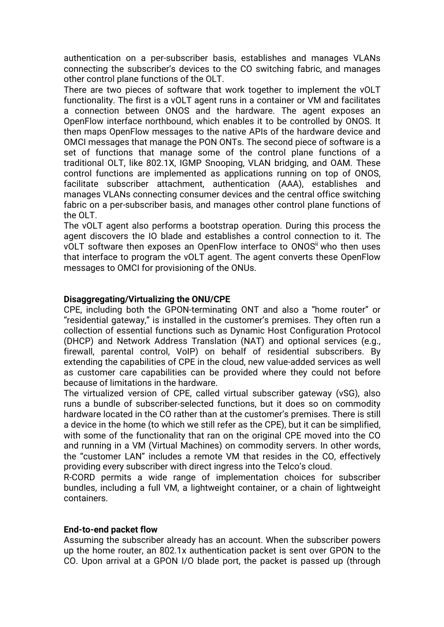authentication on a per-subscriber basis, establishes and manages VLANs connecting the subscriber's devices to the CO switching fabric, and manages other control plane functions of the OLT.

There are two pieces of software that work together to implement the vOLT functionality. The first is a vOLT agent runs in a container or VM and facilitates a connection between ONOS and the hardware. The agent exposes an OpenFlow interface northbound, which enables it to be controlled by ONOS. It then maps OpenFlow messages to the native APIs of the hardware device and OMCI messages that manage the PON ONTs. The second piece of software is a set of functions that manage some of the control plane functions of a traditional OLT, like 802.1X, IGMP Snooping, VLAN bridging, and OAM. These control functions are implemented as applications running on top of ONOS, facilitate subscriber attachment, authentication (AAA), establishes and manages VLANs connecting consumer devices and the central office switching fabric on a per-subscriber basis, and manages other control plane functions of the OLT.

The vOLT agent also performs a bootstrap operation. During this process the agent discovers the IO blade and establishes a control connection to it. The vOLT software then exposes an OpenFlow interface to ONOS<sup>ii</sup> who then uses that interface to program the vOLT agent. The agent converts these OpenFlow messages to OMCI for provisioning of the ONUs.

### **Disaggregating/Virtualizing the ONU/CPE**

CPE, including both the GPON-terminating ONT and also a "home router" or "residential gateway," is installed in the customer's premises. They often run a collection of essential functions such as Dynamic Host Configuration Protocol (DHCP) and Network Address Translation (NAT) and optional services (e.g., firewall, parental control, VoIP) on behalf of residential subscribers. By extending the capabilities of CPE in the cloud, new value-added services as well as customer care capabilities can be provided where they could not before because of limitations in the hardware.

The virtualized version of CPE, called virtual subscriber gateway (vSG), also runs a bundle of subscriber-selected functions, but it does so on commodity hardware located in the CO rather than at the customer's premises. There is still a device in the home (to which we still refer as the CPE), but it can be simplified, with some of the functionality that ran on the original CPE moved into the CO and running in a VM (Virtual Machines) on commodity servers. In other words, the "customer LAN" includes a remote VM that resides in the CO, effectively providing every subscriber with direct ingress into the Telco's cloud.

R-CORD permits a wide range of implementation choices for subscriber bundles, including a full VM, a lightweight container, or a chain of lightweight containers.

### **End-to-end packet flow**

Assuming the subscriber already has an account. When the subscriber powers up the home router, an 802.1x authentication packet is sent over GPON to the CO. Upon arrival at a GPON I/O blade port, the packet is passed up (through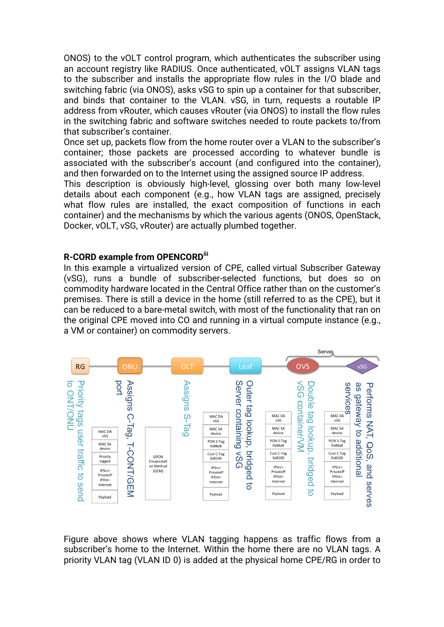ONOS) to the vOLT control program, which authenticates the subscriber using an account registry like RADIUS. Once authenticated, vOLT assigns VLAN tags to the subscriber and installs the appropriate flow rules in the I/O blade and switching fabric (via ONOS), asks vSG to spin up a container for that subscriber, and binds that container to the VLAN. vSG, in turn, requests a routable IP address from vRouter, which causes vRouter (via ONOS) to install the flow rules in the switching fabric and software switches needed to route packets to/from that subscriber's container.

Once set up, packets flow from the home router over a VLAN to the subscriber's container; those packets are processed according to whatever bundle is associated with the subscriber's account (and configured into the container), and then forwarded on to the Internet using the assigned source IP address.

This description is obviously high-level, glossing over both many low-level details about each component (e.g., how VLAN tags are assigned, precisely what flow rules are installed, the exact composition of functions in each container) and the mechanisms by which the various agents (ONOS, OpenStack, Docker, vOLT, vSG, vRouter) are actually plumbed together.

### **R-CORD example from OPENCORDiii**

In this example a virtualized version of CPE, called virtual Subscriber Gateway (vSG), runs a bundle of subscriber-selected functions, but does so on commodity hardware located in the Central Office rather than on the customer's premises. There is still a device in the home (still referred to as the CPE), but it can be reduced to a bare-metal switch, with most of the functionality that ran on the original CPE moved into CO and running in a virtual compute instance (e.g., a VM or container) on commodity servers.



Figure above shows where VLAN tagging happens as traffic flows from a subscriber's home to the Internet. Within the home there are no VLAN tags. A priority VLAN tag (VLAN ID 0) is added at the physical home CPE/RG in order to